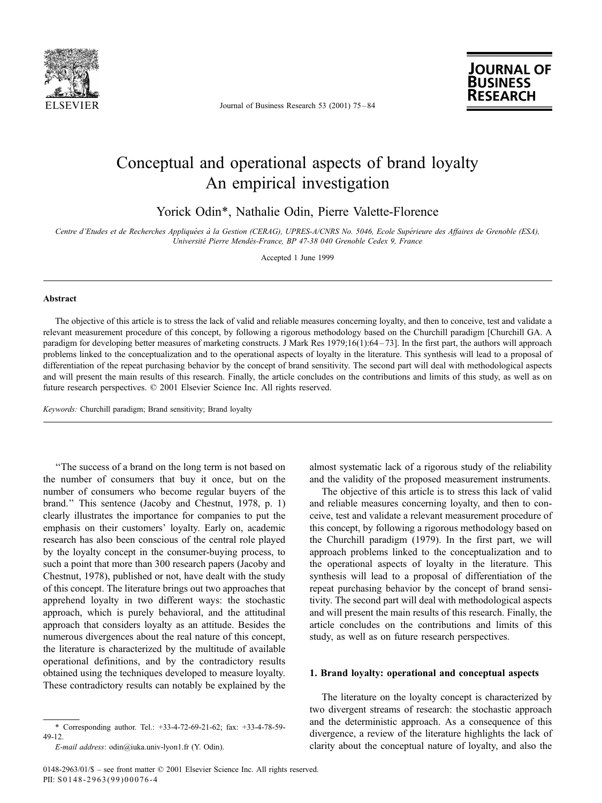

Journal of Business Research 53 (2001) 75-84



## Conceptual and operational aspects of brand loyalty An empirical investigation

Yorick Odin\*, Nathalie Odin, Pierre Valette-Florence

Centre d'Etudes et de Recherches Appliquées à la Gestion (CERAG), UPRES-A/CNRS No. 5046, Ecole Supérieure des Affaires de Grenoble (ESA), Université Pierre Mendès-France, BP 47-38 040 Grenoble Cedex 9, France

Accepted 1 June 1999

#### **Abstract**

The objective of this article is to stress the lack of valid and reliable measures concerning loyalty, and then to conceive, test and validate a relevant measurement procedure of this concept, by following a rigorous methodology based on the Churchill paradigm [Churchill GA. A paradigm for developing better measures of marketing constructs. J Mark Res 1979;16(1):64-73]. In the first part, the authors will approach problems linked to the conceptualization and to the operational aspects of loyalty in the literature. This synthesis will lead to a proposal of differentiation of the repeat purchasing behavior by the concept of brand sensitivity. The second part will deal with methodological aspects and will present the main results of this research. Finally, the article concludes on the contributions and limits of this study, as well as on future research perspectives. © 2001 Elsevier Science Inc. All rights reserved.

Keywords: Churchill paradigm; Brand sensitivity; Brand loyalty

"The success of a brand on the long term is not based on the number of consumers that buy it once, but on the number of consumers who become regular buyers of the brand." This sentence (Jacoby and Chestnut, 1978, p. 1) clearly illustrates the importance for companies to put the emphasis on their customers' loyalty. Early on, academic research has also been conscious of the central role played by the loyalty concept in the consumer-buying process, to such a point that more than 300 research papers (Jacoby and Chestnut, 1978), published or not, have dealt with the study of this concept. The literature brings out two approaches that apprehend loyalty in two different ways: the stochastic approach, which is purely behavioral, and the attitudinal approach that considers loyalty as an attitude. Besides the numerous divergences about the real nature of this concept, the literature is characterized by the multitude of available operational definitions, and by the contradictory results obtained using the techniques developed to measure loyalty. These contradictory results can notably be explained by the

almost systematic lack of a rigorous study of the reliability and the validity of the proposed measurement instruments.

The objective of this article is to stress this lack of valid and reliable measures concerning loyalty, and then to conceive, test and validate a relevant measurement procedure of this concept, by following a rigorous methodology based on the Churchill paradigm (1979). In the first part, we will approach problems linked to the conceptualization and to the operational aspects of loyalty in the literature. This synthesis will lead to a proposal of differentiation of the repeat purchasing behavior by the concept of brand sensitivity. The second part will deal with methodological aspects and will present the main results of this research. Finally, the article concludes on the contributions and limits of this study, as well as on future research perspectives.

#### 1. Brand loyalty: operational and conceptual aspects

The literature on the loyalty concept is characterized by two divergent streams of research: the stochastic approach and the deterministic approach. As a consequence of this divergence, a review of the literature highlights the lack of clarity about the conceptual nature of loyalty, and also the

<sup>\*</sup> Corresponding author. Tel.: +33-4-72-69-21-62; fax: +33-4-78-59-49-12.

E-mail address: odin@iuka.univ-lyon1.fr (Y. Odin).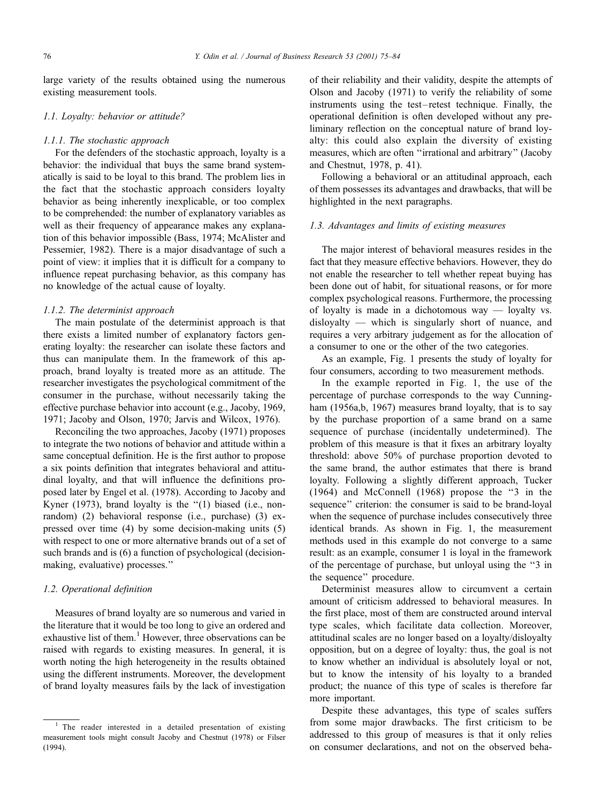large variety of the results obtained using the numerous existing measurement tools.

#### 1.1. Loyalty: behavior or attitude?

#### 1.1.1. The stochastic approach

For the defenders of the stochastic approach, loyalty is a behavior: the individual that buys the same brand systematically is said to be loyal to this brand. The problem lies in the fact that the stochastic approach considers loyalty behavior as being inherently inexplicable, or too complex to be comprehended: the number of explanatory variables as well as their frequency of appearance makes any explanation of this behavior impossible (Bass, 1974; McAlister and Pessemier, 1982). There is a major disadvantage of such a point of view: it implies that it is difficult for a company to influence repeat purchasing behavior, as this company has no knowledge of the actual cause of loyalty.

#### 1.1.2. The determinist approach

The main postulate of the determinist approach is that there exists a limited number of explanatory factors generating loyalty: the researcher can isolate these factors and thus can manipulate them. In the framework of this approach, brand loyalty is treated more as an attitude. The researcher investigates the psychological commitment of the consumer in the purchase, without necessarily taking the effective purchase behavior into account (e.g., Jacoby, 1969, 1971; Jacoby and Olson, 1970; Jarvis and Wilcox, 1976).

Reconciling the two approaches, Jacoby (1971) proposes to integrate the two notions of behavior and attitude within a same conceptual definition. He is the first author to propose a six points definition that integrates behavioral and attitudinal loyalty, and that will influence the definitions proposed later by Engel et al. (1978). According to Jacoby and Kyner (1973), brand loyalty is the "(1) biased (i.e., nonrandom) (2) behavioral response (i.e., purchase) (3) expressed over time  $(4)$  by some decision-making units  $(5)$ with respect to one or more alternative brands out of a set of such brands and is (6) a function of psychological (decisionmaking, evaluative) processes."

### 1.2. Operational definition

Measures of brand loyalty are so numerous and varied in the literature that it would be too long to give an ordered and exhaustive list of them.<sup>1</sup> However, three observations can be raised with regards to existing measures. In general, it is worth noting the high heterogeneity in the results obtained using the different instruments. Moreover, the development of brand loyalty measures fails by the lack of investigation

of their reliability and their validity, despite the attempts of Olson and Jacoby (1971) to verify the reliability of some instruments using the test-retest technique. Finally, the operational definition is often developed without any preliminary reflection on the conceptual nature of brand loyalty: this could also explain the diversity of existing measures, which are often "irrational and arbitrary" (Jacoby and Chestnut, 1978, p. 41).

Following a behavioral or an attitudinal approach, each of them possesses its advantages and drawbacks, that will be highlighted in the next paragraphs.

#### 1.3. Advantages and limits of existing measures

The major interest of behavioral measures resides in the fact that they measure effective behaviors. However, they do not enable the researcher to tell whether repeat buying has been done out of habit, for situational reasons, or for more complex psychological reasons. Furthermore, the processing of loyalty is made in a dichotomous way — loyalty vs.  $disloyalty$  — which is singularly short of nuance, and requires a very arbitrary judgement as for the allocation of a consumer to one or the other of the two categories.

As an example, Fig. 1 presents the study of loyalty for four consumers, according to two measurement methods.

In the example reported in Fig. 1, the use of the percentage of purchase corresponds to the way Cunningham (1956a,b, 1967) measures brand loyalty, that is to say by the purchase proportion of a same brand on a same sequence of purchase (incidentally undetermined). The problem of this measure is that it fixes an arbitrary loyalty threshold: above 50% of purchase proportion devoted to the same brand, the author estimates that there is brand loyalty. Following a slightly different approach, Tucker  $(1964)$  and McConnell  $(1968)$  propose the "3 in the sequence" criterion: the consumer is said to be brand-loyal when the sequence of purchase includes consecutively three identical brands. As shown in Fig. 1, the measurement methods used in this example do not converge to a same result: as an example, consumer 1 is loyal in the framework of the percentage of purchase, but unloyal using the "3 in the sequence" procedure.

Determinist measures allow to circumvent a certain amount of criticism addressed to behavioral measures. In the first place, most of them are constructed around interval type scales, which facilitate data collection. Moreover, attitudinal scales are no longer based on a loyalty/disloyalty opposition, but on a degree of loyalty: thus, the goal is not to know whether an individual is absolutely loyal or not, but to know the intensity of his loyalty to a branded product; the nuance of this type of scales is therefore far more important.

Despite these advantages, this type of scales suffers from some major drawbacks. The first criticism to be addressed to this group of measures is that it only relies on consumer declarations, and not on the observed beha-

<sup>&</sup>lt;sup>1</sup> The reader interested in a detailed presentation of existing measurement tools might consult Jacoby and Chestnut (1978) or Filser  $(1994)$ .